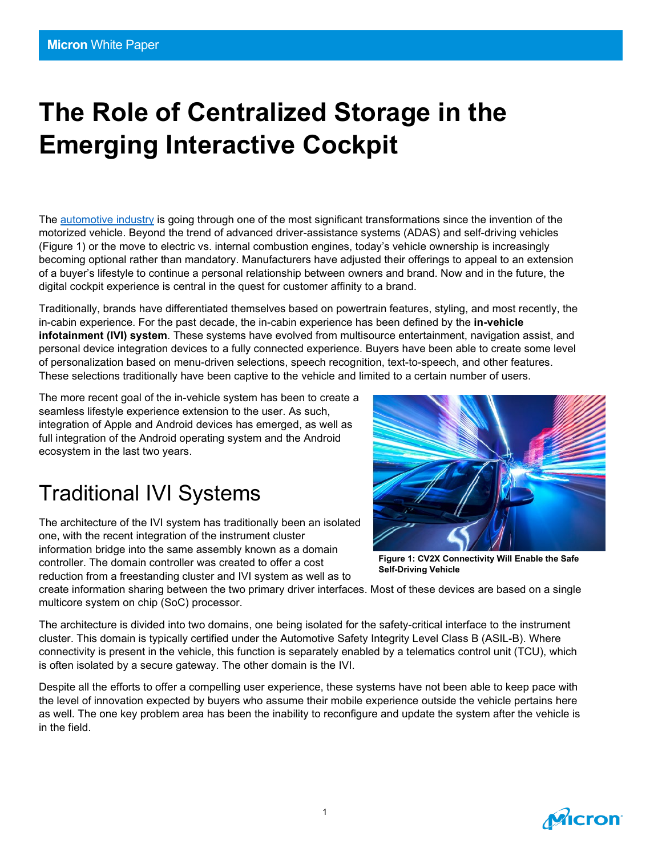# **The Role of Centralized Storage in the Emerging Interactive Cockpit**

The [automotive industry](https://www.micron.com/solutions/automotive) is going through one of the most significant transformations since the invention of the motorized vehicle. Beyond the trend of advanced driver-assistance systems (ADAS) and self-driving vehicles (Figure 1) or the move to electric vs. internal combustion engines, today's vehicle ownership is increasingly becoming optional rather than mandatory. Manufacturers have adjusted their offerings to appeal to an extension of a buyer's lifestyle to continue a personal relationship between owners and brand. Now and in the future, the digital cockpit experience is central in the quest for customer affinity to a brand.

Traditionally, brands have differentiated themselves based on powertrain features, styling, and most recently, the in-cabin experience. For the past decade, the in-cabin experience has been defined by the **in-vehicle infotainment (IVI) system**. These systems have evolved from multisource entertainment, navigation assist, and personal device integration devices to a fully connected experience. Buyers have been able to create some level of personalization based on menu-driven selections, speech recognition, text-to-speech, and other features. These selections traditionally have been captive to the vehicle and limited to a certain number of users.

The more recent goal of the in-vehicle system has been to create a seamless lifestyle experience extension to the user. As such, integration of Apple and Android devices has emerged, as well as full integration of the Android operating system and the Android ecosystem in the last two years.

### Traditional IVI Systems

The architecture of the IVI system has traditionally been an isolated one, with the recent integration of the instrument cluster information bridge into the same assembly known as a domain controller. The domain controller was created to offer a cost reduction from a freestanding cluster and IVI system as well as to



**Figure 1: CV2X Connectivity Will Enable the Safe Self-Driving Vehicle**

create information sharing between the two primary driver interfaces. Most of these devices are based on a single multicore system on chip (SoC) processor.

The architecture is divided into two domains, one being isolated for the safety-critical interface to the instrument cluster. This domain is typically certified under the Automotive Safety Integrity Level Class B (ASIL-B). Where connectivity is present in the vehicle, this function is separately enabled by a telematics control unit (TCU), which is often isolated by a secure gateway. The other domain is the IVI.

Despite all the efforts to offer a compelling user experience, these systems have not been able to keep pace with the level of innovation expected by buyers who assume their mobile experience outside the vehicle pertains here as well. The one key problem area has been the inability to reconfigure and update the system after the vehicle is in the field.

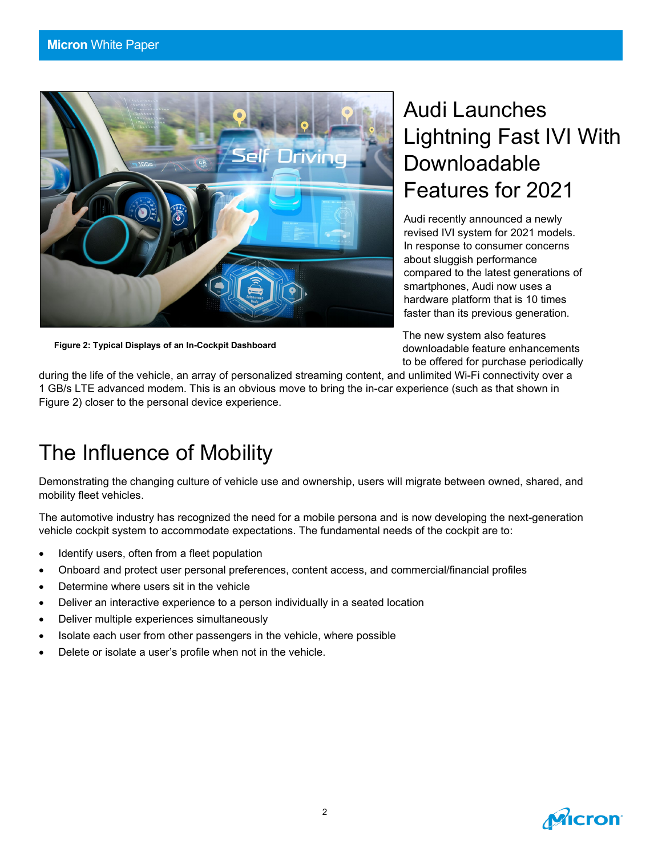

**Figure 2: Typical Displays of an In-Cockpit Dashboard** 

## Audi Launches Lightning Fast IVI With Downloadable Features for 2021

Audi recently announced a newly revised IVI system for 2021 models. In response to consumer concerns about sluggish performance compared to the latest generations of smartphones, Audi now uses a hardware platform that is 10 times faster than its previous generation.

The new system also features downloadable feature enhancements to be offered for purchase periodically

during the life of the vehicle, an array of personalized streaming content, and unlimited Wi-Fi connectivity over a 1 GB/s LTE advanced modem. This is an obvious move to bring the in-car experience (such as that shown in Figure 2) closer to the personal device experience.

### The Influence of Mobility

Demonstrating the changing culture of vehicle use and ownership, users will migrate between owned, shared, and mobility fleet vehicles.

The automotive industry has recognized the need for a mobile persona and is now developing the next-generation vehicle cockpit system to accommodate expectations. The fundamental needs of the cockpit are to:

- Identify users, often from a fleet population
- Onboard and protect user personal preferences, content access, and commercial/financial profiles
- Determine where users sit in the vehicle
- Deliver an interactive experience to a person individually in a seated location
- Deliver multiple experiences simultaneously
- Isolate each user from other passengers in the vehicle, where possible
- Delete or isolate a user's profile when not in the vehicle.

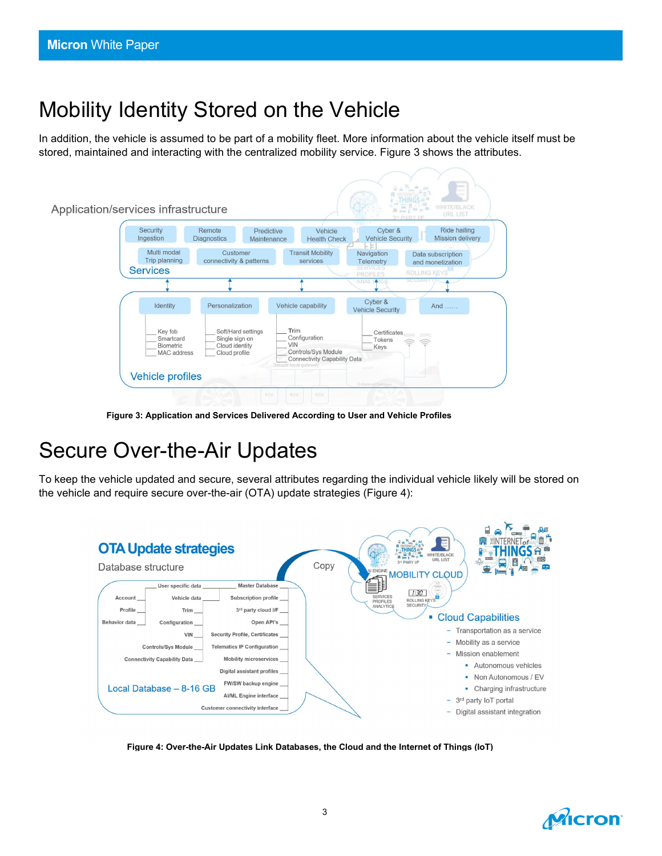### Mobility Identity Stored on the Vehicle

In addition, the vehicle is assumed to be part of a mobility fleet. More information about the vehicle itself must be stored, maintained and interacting with the centralized mobility service. Figure 3 shows the attributes.



**Figure 3: Application and Services Delivered According to User and Vehicle Profiles**

### Secure Over-the-Air Updates

To keep the vehicle updated and secure, several attributes regarding the individual vehicle likely will be stored on the vehicle and require secure over-the-air (OTA) update strategies (Figure 4):



**Figure 4: Over-the-Air Updates Link Databases, the Cloud and the Internet of Things (IoT)**

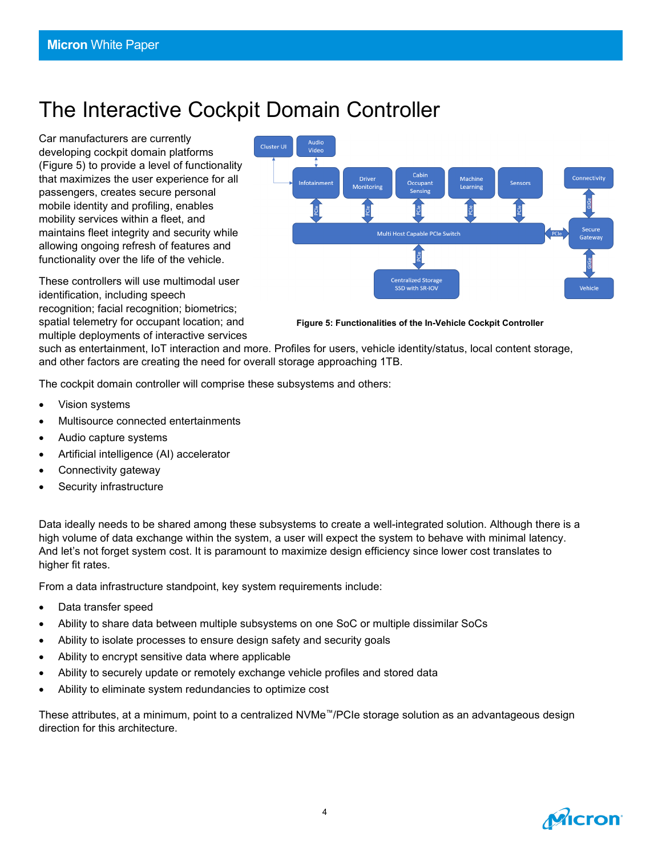### The Interactive Cockpit Domain Controller

Car manufacturers are currently developing cockpit domain platforms (Figure 5) to provide a level of functionality that maximizes the user experience for all passengers, creates secure personal mobile identity and profiling, enables mobility services within a fleet, and maintains fleet integrity and security while allowing ongoing refresh of features and functionality over the life of the vehicle.

These controllers will use multimodal user identification, including speech recognition; facial recognition; biometrics; spatial telemetry for occupant location; and multiple deployments of interactive services



**Figure 5: Functionalities of the In-Vehicle Cockpit Controller**

such as entertainment, IoT interaction and more. Profiles for users, vehicle identity/status, local content storage, and other factors are creating the need for overall storage approaching 1TB.

The cockpit domain controller will comprise these subsystems and others:

- Vision systems
- Multisource connected entertainments
- Audio capture systems
- Artificial intelligence (AI) accelerator
- Connectivity gateway
- Security infrastructure

Data ideally needs to be shared among these subsystems to create a well-integrated solution. Although there is a high volume of data exchange within the system, a user will expect the system to behave with minimal latency. And let's not forget system cost. It is paramount to maximize design efficiency since lower cost translates to higher fit rates.

From a data infrastructure standpoint, key system requirements include:

- Data transfer speed
- Ability to share data between multiple subsystems on one SoC or multiple dissimilar SoCs
- Ability to isolate processes to ensure design safety and security goals
- Ability to encrypt sensitive data where applicable
- Ability to securely update or remotely exchange vehicle profiles and stored data
- Ability to eliminate system redundancies to optimize cost

These attributes, at a minimum, point to a centralized NVMe™/PCIe storage solution as an advantageous design direction for this architecture.

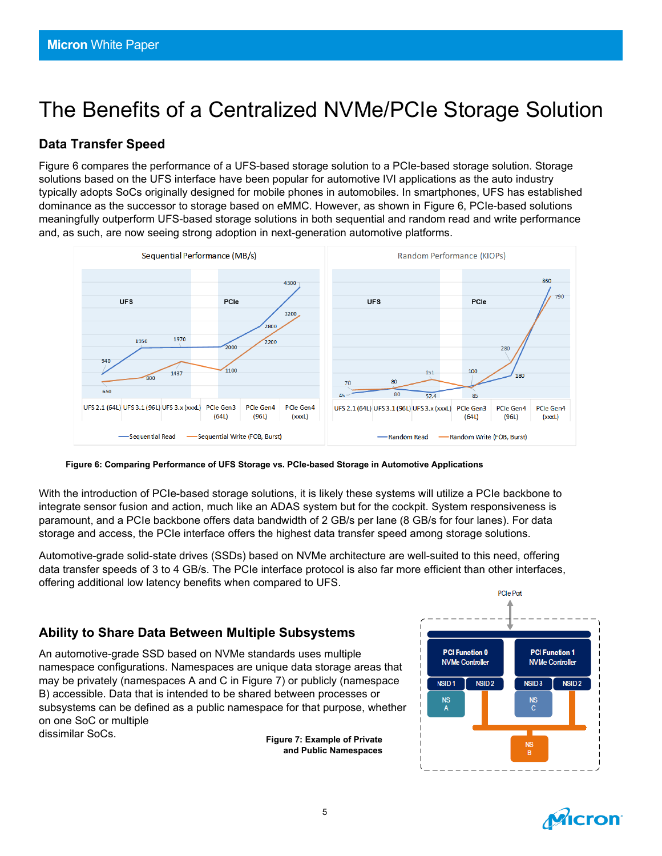## The Benefits of a Centralized NVMe/PCIe Storage Solution

#### **Data Transfer Speed**

Figure 6 compares the performance of a UFS-based storage solution to a PCIe-based storage solution. Storage solutions based on the UFS interface have been popular for automotive IVI applications as the auto industry typically adopts SoCs originally designed for mobile phones in automobiles. In smartphones, UFS has established dominance as the successor to storage based on eMMC. However, as shown in Figure 6, PCIe-based solutions meaningfully outperform UFS-based storage solutions in both sequential and random read and write performance and, as such, are now seeing strong adoption in next-generation automotive platforms.



**Figure 6: Comparing Performance of UFS Storage vs. PCIe-based Storage in Automotive Applications**

With the introduction of PCIe-based storage solutions, it is likely these systems will utilize a PCIe backbone to integrate sensor fusion and action, much like an ADAS system but for the cockpit. System responsiveness is paramount, and a PCIe backbone offers data bandwidth of 2 GB/s per lane (8 GB/s for four lanes). For data storage and access, the PCIe interface offers the highest data transfer speed among storage solutions.

Automotive-grade solid-state drives (SSDs) based on NVMe architecture are well-suited to this need, offering data transfer speeds of 3 to 4 GB/s. The PCIe interface protocol is also far more efficient than other interfaces, offering additional low latency benefits when compared to UFS.

#### **Ability to Share Data Between Multiple Subsystems**

An automotive-grade SSD based on NVMe standards uses multiple namespace configurations. Namespaces are unique data storage areas that may be privately (namespaces A and C in Figure 7) or publicly (namespace B) accessible. Data that is intended to be shared between processes or subsystems can be defined as a public namespace for that purpose, whether on one SoC or multiple dissimilar SoCs.

**Figure 7: Example of Private and Public Namespaces**



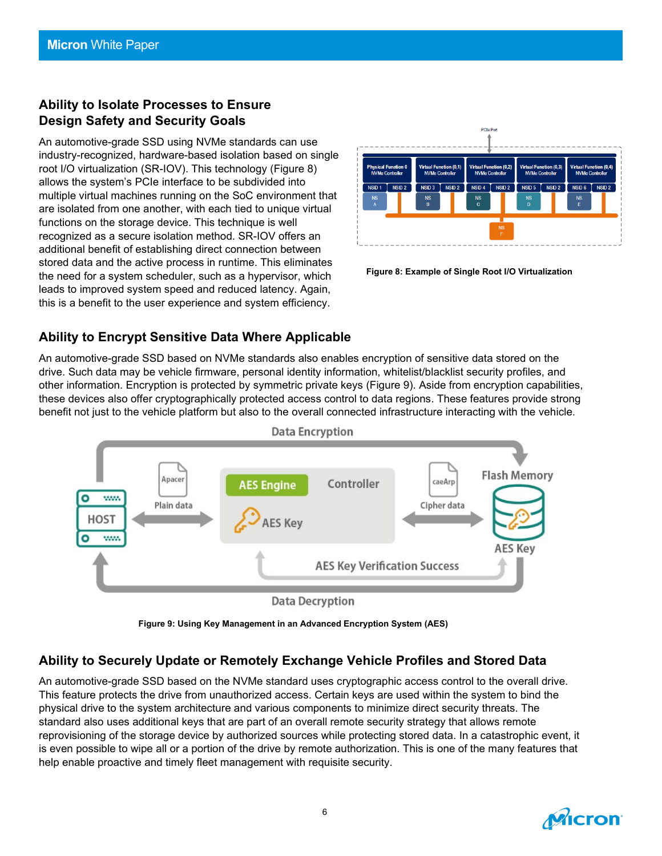#### **Ability to Isolate Processes to Ensure Design Safety and Security Goals**

An automotive-grade SSD using NVMe standards can use industry-recognized, hardware-based isolation based on single root I/O virtualization (SR-IOV). This technology (Figure 8) allows the system's PCIe interface to be subdivided into multiple virtual machines running on the SoC environment that are isolated from one another, with each tied to unique virtual functions on the storage device. This technique is well recognized as a secure isolation method. SR-IOV offers an additional benefit of establishing direct connection between stored data and the active process in runtime. This eliminates the need for a system scheduler, such as a hypervisor, which leads to improved system speed and reduced latency. Again, this is a benefit to the user experience and system efficiency.



**Figure 8: Example of Single Root I/O Virtualization**

#### **Ability to Encrypt Sensitive Data Where Applicable**

An automotive-grade SSD based on NVMe standards also enables encryption of sensitive data stored on the drive. Such data may be vehicle firmware, personal identity information, whitelist/blacklist security profiles, and other information. Encryption is protected by symmetric private keys (Figure 9). Aside from encryption capabilities, these devices also offer cryptographically protected access control to data regions. These features provide strong benefit not just to the vehicle platform but also to the overall connected infrastructure interacting with the vehicle.



**Figure 9: Using Key Management in an Advanced Encryption System (AES)**

#### **Ability to Securely Update or Remotely Exchange Vehicle Profiles and Stored Data**

An automotive-grade SSD based on the NVMe standard uses cryptographic access control to the overall drive. This feature protects the drive from unauthorized access. Certain keys are used within the system to bind the physical drive to the system architecture and various components to minimize direct security threats. The standard also uses additional keys that are part of an overall remote security strategy that allows remote reprovisioning of the storage device by authorized sources while protecting stored data. In a catastrophic event, it is even possible to wipe all or a portion of the drive by remote authorization. This is one of the many features that help enable proactive and timely fleet management with requisite security.

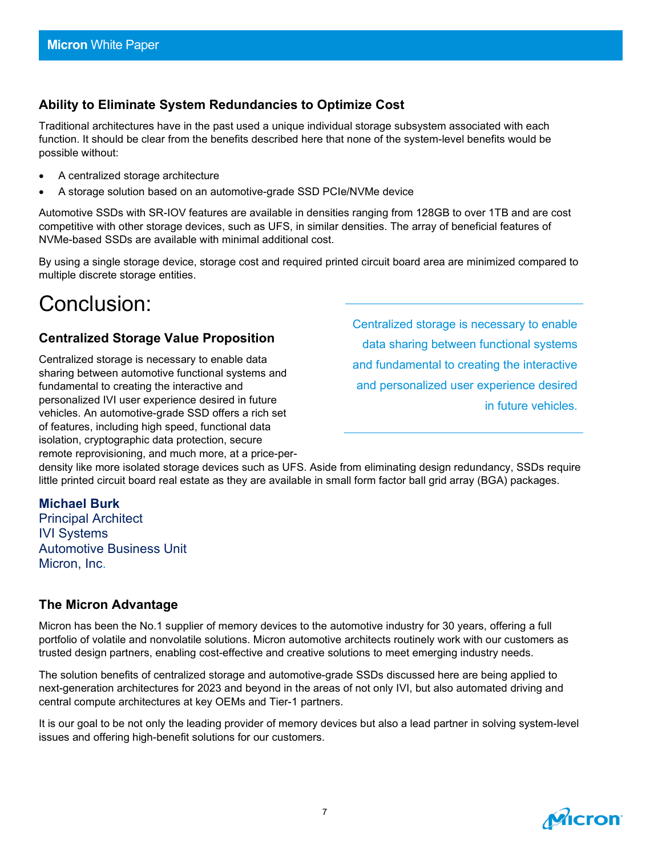#### **Ability to Eliminate System Redundancies to Optimize Cost**

Traditional architectures have in the past used a unique individual storage subsystem associated with each function. It should be clear from the benefits described here that none of the system-level benefits would be possible without:

- A centralized storage architecture
- A storage solution based on an automotive-grade SSD PCIe/NVMe device

Automotive SSDs with SR-IOV features are available in densities ranging from 128GB to over 1TB and are cost competitive with other storage devices, such as UFS, in similar densities. The array of beneficial features of NVMe-based SSDs are available with minimal additional cost.

By using a single storage device, storage cost and required printed circuit board area are minimized compared to multiple discrete storage entities.

### Conclusion:

#### **Centralized Storage Value Proposition**

Centralized storage is necessary to enable data sharing between automotive functional systems and fundamental to creating the interactive and personalized IVI user experience desired in future vehicles. An automotive-grade SSD offers a rich set of features, including high speed, functional data isolation, cryptographic data protection, secure remote reprovisioning, and much more, at a price-perCentralized storage is necessary to enable data sharing between functional systems and fundamental to creating the interactive and personalized user experience desired in future vehicles.

density like more isolated storage devices such as UFS. Aside from eliminating design redundancy, SSDs require little printed circuit board real estate as they are available in small form factor ball grid array (BGA) packages.

**Michael Burk** Principal Architect IVI Systems Automotive Business Unit Micron, Inc.

#### **The Micron Advantage**

Micron has been the No.1 supplier of memory devices to the automotive industry for 30 years, offering a full portfolio of volatile and nonvolatile solutions. Micron automotive architects routinely work with our customers as trusted design partners, enabling cost-effective and creative solutions to meet emerging industry needs.

The solution benefits of centralized storage and automotive-grade SSDs discussed here are being applied to next-generation architectures for 2023 and beyond in the areas of not only IVI, but also automated driving and central compute architectures at key OEMs and Tier-1 partners.

It is our goal to be not only the leading provider of memory devices but also a lead partner in solving system-level issues and offering high-benefit solutions for our customers.